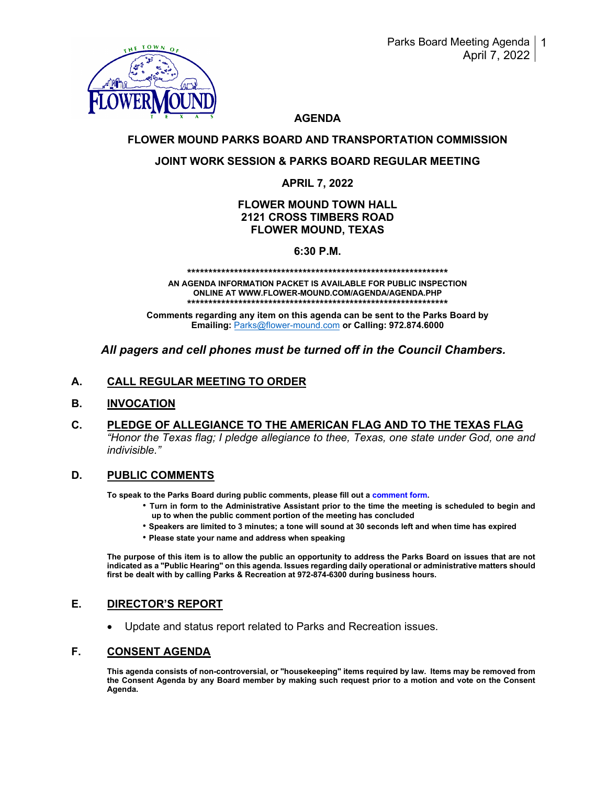

# **AGENDA**

# **FLOWER MOUND PARKS BOARD AND TRANSPORTATION COMMISSION**

# **JOINT WORK SESSION & PARKS BOARD REGULAR MEETING**

## **APRIL 7, 2022**

### **FLOWER MOUND TOWN HALL 2121 CROSS TIMBERS ROAD FLOWER MOUND, TEXAS**

# **6:30 P.M.**

**\*\*\*\*\*\*\*\*\*\*\*\*\*\*\*\*\*\*\*\*\*\*\*\*\*\*\*\*\*\*\*\*\*\*\*\*\*\*\*\*\*\*\*\*\*\*\*\*\*\*\*\*\*\*\*\*\*\*\*\*\*** 

**AN AGENDA INFORMATION PACKET IS AVAILABLE FOR PUBLIC INSPECTION ONLINE AT WWW.FLOWER-MOUND.COM/AGENDA/AGENDA.PHP \*\*\*\*\*\*\*\*\*\*\*\*\*\*\*\*\*\*\*\*\*\*\*\*\*\*\*\*\*\*\*\*\*\*\*\*\*\*\*\*\*\*\*\*\*\*\*\*\*\*\*\*\*\*\*\*\*\*\*\*\*** 

**Comments regarding any item on this agenda can be sent to the Parks Board by Emailing:** [Parks@flower-mound.com](mailto:Parks@flower-mound.com) **or Calling: 972.874.6000** 

# *All pagers and cell phones must be turned off in the Council Chambers.*

# **A. CALL REGULAR MEETING TO ORDER**

### **B. INVOCATION**

**C. PLEDGE OF ALLEGIANCE TO THE AMERICAN FLAG AND TO THE TEXAS FLAG** *"Honor the Texas flag; I pledge allegiance to thee, Texas, one state under God, one and indivisible."*

### **D. PUBLIC COMMENTS**

**To speak to the Parks Board during public comments, please fill out a comment form.**

- **Turn in form to the Administrative Assistant prior to the time the meeting is scheduled to begin and up to when the public comment portion of the meeting has concluded**
- **Speakers are limited to 3 minutes; a tone will sound at 30 seconds left and when time has expired**
- **Please state your name and address when speaking**

**The purpose of this item is to allow the public an opportunity to address the Parks Board on issues that are not indicated as a "Public Hearing" on this agenda. Issues regarding daily operational or administrative matters should first be dealt with by calling Parks & Recreation at 972-874-6300 during business hours.**

# **E. DIRECTOR'S REPORT**

• Update and status report related to Parks and Recreation issues.

# **F. CONSENT AGENDA**

**This agenda consists of non-controversial, or "housekeeping" items required by law. Items may be removed from the Consent Agenda by any Board member by making such request prior to a motion and vote on the Consent Agenda.**